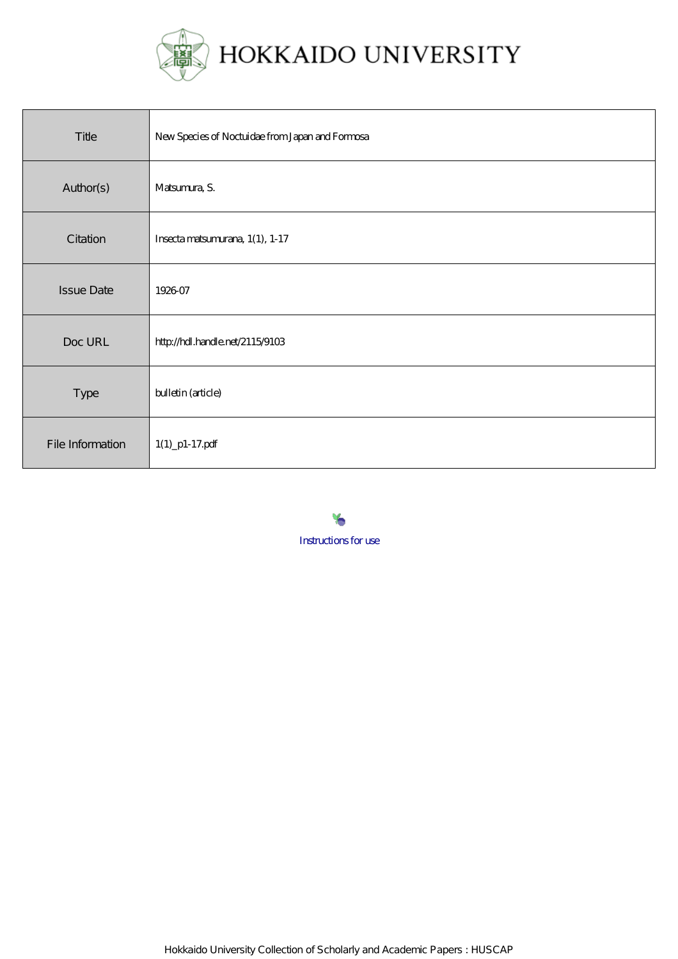

| Title             | New Species of Noctuidae from Japan and Formosa |
|-------------------|-------------------------------------------------|
| Author(s)         | Matsunura, S.                                   |
| Citation          | Insecta matsumurana, 1(1), 1-17                 |
| <b>Issue Date</b> | 1926-07                                         |
| Doc URL           | http://hdl.handle.net/2115/9103                 |
| Type              | bulletin (article)                              |
| File Information  | $1(1)$ _p1-17.pdf                               |

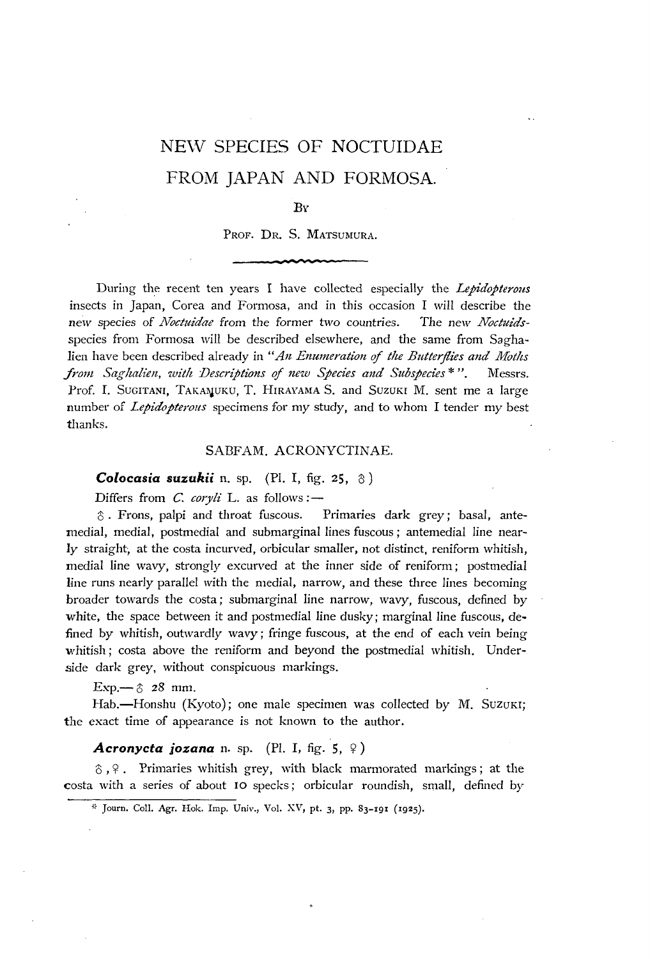# NE\V SPECIES OF NOCTUIDAE FROM JAPAN AND FORMOSA.

## $B_Y$

# PROF. DR. S. MATSUMURA.

During the recent ten years I have collected especially the *Lepidopterous*  insects in Japan, Corea and Formosa, and in this occasion I will describe the *nelv* species of *lVoctltidae* from the former two countries. The new *Noctltids*species from Formosa will be described elsewhere, and the same from Saghalien have been described already in "An Enumeration of the Butterflies and Moths *from Saglzalien, witlt Descriptions* of *new Spedes and Subspecies* \* ". Messrs. Prof. I. SUGITANI, TAKAMUKU, T. HIRAYAMA S. and SUZUKI M. sent me a large number of *Lepidopterous* specimens for my study, and to whom I tender my best thanks.

### SABFAM. ACRONYCTINAE.

**Colocasia suzukii** n. sp. (Pl. I, fig. 25, 8)

Differs from *C. coryli* L. as follows:-

 $\hat{\sigma}$ . Frons, palpi and throat fuscous. Primaries dark grey; basal, antemedial, medial, postmedial and submarginal lines fuscous; antemedial line nearly straight, at the costa incurved, orbicular smaller, not distinct, reniform whitish, medial line wavy, strongly excurved at the inner side of reniform; postmedial line runs nearly parallel with the medial, narrow, and these three lines becoming broader towards the costa; submarginal line narrow, wavy, fuscous, defined by white, the space between it and postmedial line dusky; marginal line fuscous, defined by whitish, outwardly wavy; fringe fuscous, at the end of each vein being whitish; costa above the reniform and beyond the postmedial whitish. Underside dark grey, without conspicuous markings.

Exp.- $\circ$  28 mm.

Hab.-Honshu (Kyoto); one male specimen was collected by M. Suzuki; the exact time of appearance is not known to the author.

# $A$ cronycta jozana n. sp. (Pl. I, fig. 5,  $9$ )

 $\delta$ ,  $\varphi$ . Primaries whitish grey, with black marmorated markings; at the costa with a series of about IO specks; orbicular roundish, small, defined by

<sup>&</sup>gt;" Journ. ColI. Agr. Hok. Imp. Univ., Vol. XV, pt. 3, pp. 83-191 (1925).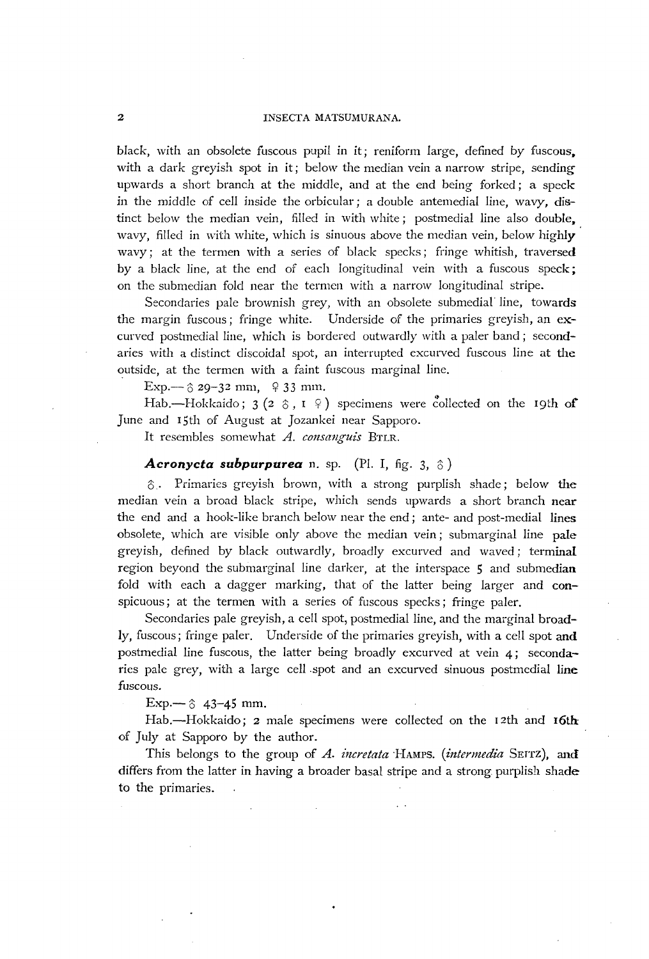#### 2 INSECTA MATSUMURANA.

*black,* with an *obsolete* fuscous pupil in it; reniform large, defined by fuscous. with a dark greyish spot in it; below the median vein a narrow stripe, sending upwards a short branch at the middle, and at the end being forked; a speck in the middle of cell inside the orbicular; a double antemedial line, wavy, distinct below the median vein, filled in with white; postmedial line also double, wavy, filled in with white, which is sinuous above the median vein, below highly wavy; at the termen with a series of black specks; fringe whitish, traversed by a black line, at the end of each longitudinal vein with a fuscous speck; on the submedian fold near the termen with a narrow longitudinal stripe.

Secondaries pale brownish grey, with an obsolete submedial line, towards the margin fuscous; fringe white. Underside of the primaries greyish, an excurved postmedial line, which is bordered outwardly with a paler band; secondaries with a distinct discoidal spot, an interrupted excurved fuscous line at the outside, at the termen with a faint fuscous marginal line.

Exp.—  $\circ$  29-32 mm,  $\circ$  33 mm.

Hab.-Hokkaido;  $3(2 \delta, I \hat{)}$  specimens were collected on the 19th of June and 15th of August at Jozankei near Sapporo.

It resembles somewhat *A. consanguis BTLR*.

### **Acronycta subpurpurea** n. sp. (Pl. I, fig. 3,  $\delta$ )

 $\delta$ . Primaries greyish brown, with a strong purplish shade; below the median vein a broad black stripe, which sends upwards a short branch near the end and a hook-like branch below near the end; ante- and post-medial lines obsolete, which are visible only above the median vein; submarginal line pale greyish, defined by black outwardly, broadly excurved and waved; terminal region beyond the submarginal line darker, at the interspace 5 and submedian fold with each a dagger marking, that of the latter being larger and conspicuous; at the termen with a series of fuscous specks; fringe paler.

Secondaries pale greyish, a cell spot, postmedial line, and the marginal broadly, fuscous; fringe paler. Underside of the primaries greyish, with a cell spot and postmedial line fuscous, the latter being broadly excurved at vein 4; secondaries pale grey, with a large cell spot and an excurved sinuous postmedial line fuscous.

Exp.—  $\upbeta$  43-45 mm.

Hab.—Hokkaido; 2 male specimens were collected on the 12th and 16th of July at Sapporo by the author.

This belongs to the group of *A. incretata* HAMPS. *(intermedia SEITZ)*, and differs from the latter in having a broader basal stripe and a strong purplish shade to the primaries.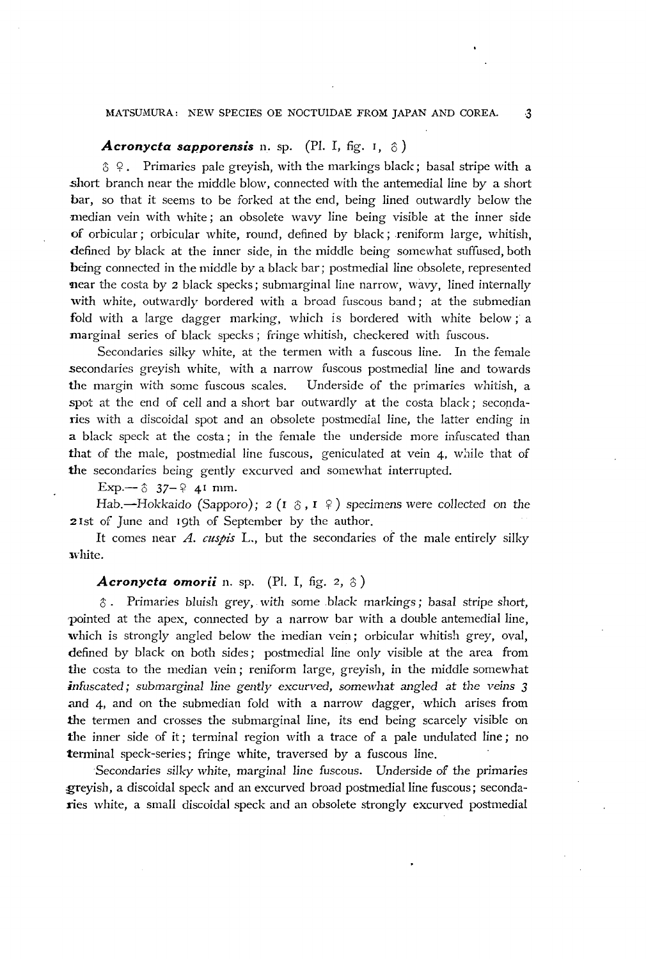## MATSUMURA: NEW SPECIES OE NOCTUIDAE FROM JAPAN AND COREA. 3

# **Acronycta sapporensis** n. sp. (Pl. I, fig. 1,  $\hat{\sigma}$ )

 $\hat{\sigma}$  9. Primaries pale greyish, with the markings black; basal stripe with a .short branch near the middle blow, connected with the antemedial line by a short bar, so that it seems to be forked at the end, being lined outwardly below the median vein with white; an obsolete wavy line being visible at the inner side of orbicular; orbicular white, round, defined by black ; reniform large, whitish, defined by black at the inner side, in the middle being somewhat suffused, both being connected in the middle by a black bar; postmedial line obsolete, represented **near** the costa by 2 black specks; submarginal line narrow, wavy, lined internally with white, outwardly bordered with a broad fuscous band; at the submedian fold with a large dagger marking, which is bordered with white below; a marginal series of black specks; fringe whitish, checkered with fuscous.

Secondaries silky white, at the termen with a fuscous line. In the female secondaries greyish white, with a narrow fuscous postmedial line and towards the margin with some fuscous scales. Underside of the primaries whitish, a spot at the end of cell and a short bar outwardly at the costa black; secondaries with a discoidal spot and an obsolete postmedial line, the latter ending in a black speck at the costa; in the female the underside more infuscated than that of the male, postmedial line fuscous, geniculated at vein 4, while that of the secondaries being gently excurved and somewhat interrupted.

Exp.— $\upbeta$  37- $\upbeta$  41 mm.

Hab. -Hokkaido (Sapporo); 2 (1  $\circ$ , I  $\circ$ ) specimens were collected on the 2 Ist of June and 19th of September by the author.

It comes near A. *cuspis* L., but the secondaries of the male entirely silky white.

#### Acronycta omorii n. sp. (Pl. I, fig. 2, 8)

 $\delta$ . Primaries bluish grey, with some black markings; basal stripe short, 1)ointed at the apex, connected by a narrow bar with a double antemedial line, which is strongly angled below the median vein; orbicular whitish grey, oval, defined by black on both sides; postmedial line only visible at the area from the costa to the median vein; reniform large, greyish, in the middle somewhat *infuscated; submarginal line gently excurved, somewhat angled* at *the veins 3*  and 4, and on the submedian fold with a narrow dagger, which arises from the termen and crosses the submarginal line, its end being scarcely visible on the inner side of it; terminal region with a trace of a pale undulated line; no terminal speck-series; fringe white, traversed by a fuscous line.

Secondaries silky white, marginal line fuscous. Underside of the primaries greyish, a discoidal speck and an excurved broad postmedial line fuscous; secondaries white, a small discoidal speck and an obsolete strongly excurved postmedial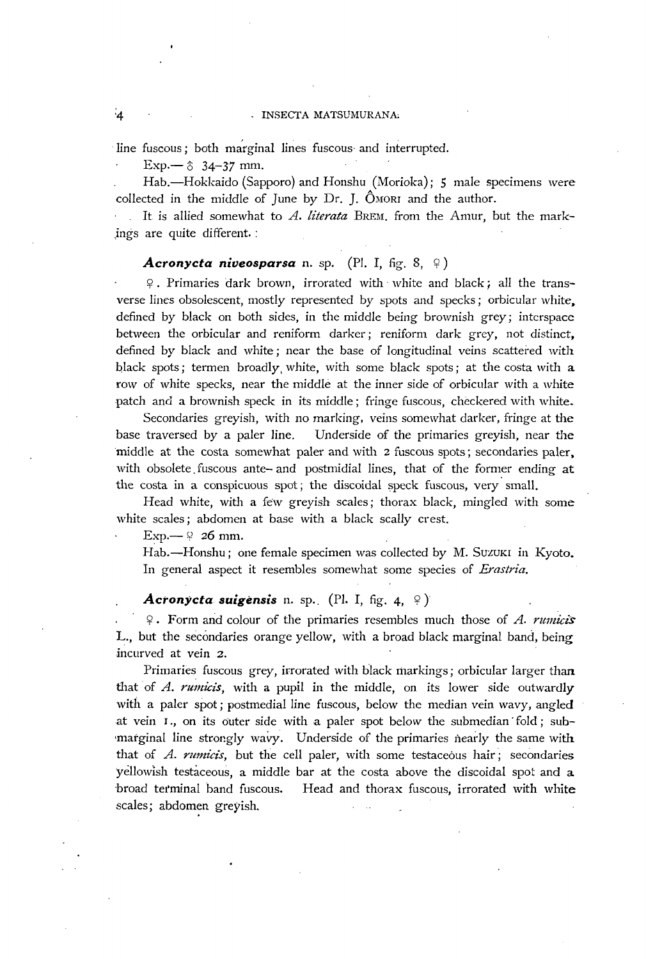#### - INSECTA MATSUMURANA

line fuscous; both marginal lines fuscous and interrupted.

 $Exp. - 8$  34-37 mm.

Hab.-Hokkaido (Sapporo) and Honshu (Morioka); 5 male specimens were collected in the middle of June by Dr. J. OMORI and the author.

It is allied somewhat to *A. literata* BREM. from the Amur, but the mark- ,ings are quite different. :

#### **Acronycta niveosparsa** n. sp. (Pl. I, fig. 8,  $\varphi$ )

~. Primaries dark brown, irrorated with' white and black i all the transverse lines obsolescent, mostly represented by spots and specks; orbicular white, defined by black on both sides, in the middle being brownish grey; interspace between the orbicular and reniform darker; reniform dark grey, not distinct, defined by black and white; near the base of longitudinal veins scattered with black spots; termen broadly, white, with some black spots; at the costa with a row of white specks, near the middle at the inner side of orbicular with a white patch and a brownish speck in its middle; fringe fuscous, checkered with white.

Secondaries greyish, with no marking, veins somewhat darker, fringe at the base traversed by a paler line. Underside of the primaries greyish, near the 'middle at the costa somewhat paler and with 2 fuscous spots; secondaries paler, with obsolete, fuscous ante- and postmidial lines, that of the former ending at the costa in a conspicuous spot; the discoidal speck fuscous, very' small.

Head white, with a few greyish scales; thorax black, mingled with some white scales; abdomen at base with a black scally crest.

 $Exp. \rightarrow$  26 mm.

Hab.—Honshu; one female specimen was collected by M. Suzuki in Kyoto. In general aspect it resembles somewhat some species of *Erastria.* 

#### *Acronycta suigensis* n. sp., (Pl. I, fig. 4,  $\circ$ )

~. Form arid colour of the primaries resembles much those of *A. rU11liciS*  L., but the secondaries orange yellow, with a broad black marginal band, being incurved at vein 2.

Primaries fuscous grey, irrorated with black markings; orbicular larger than that of A. *ruinicis,* with a pupil in the middle, on its lower side outwardly with a paler spot; postmedial line fuscous, below the median vein wavy, angled at vein I., on its outer side with a paler spot *below* the submedian 'fold; sub marginal line strongly wavy. Underside of the primaries nearly the same with that of A. *rumicis*, but the cell paler, with some testaceous hair; secondaries yellowish testaceous, a middle bar at the costa above the discoidal spot and a broad terminal band fuscous. Head and thorax fuscous, irrorated with white scales; abdomen greyish.

 $4^{\circ}$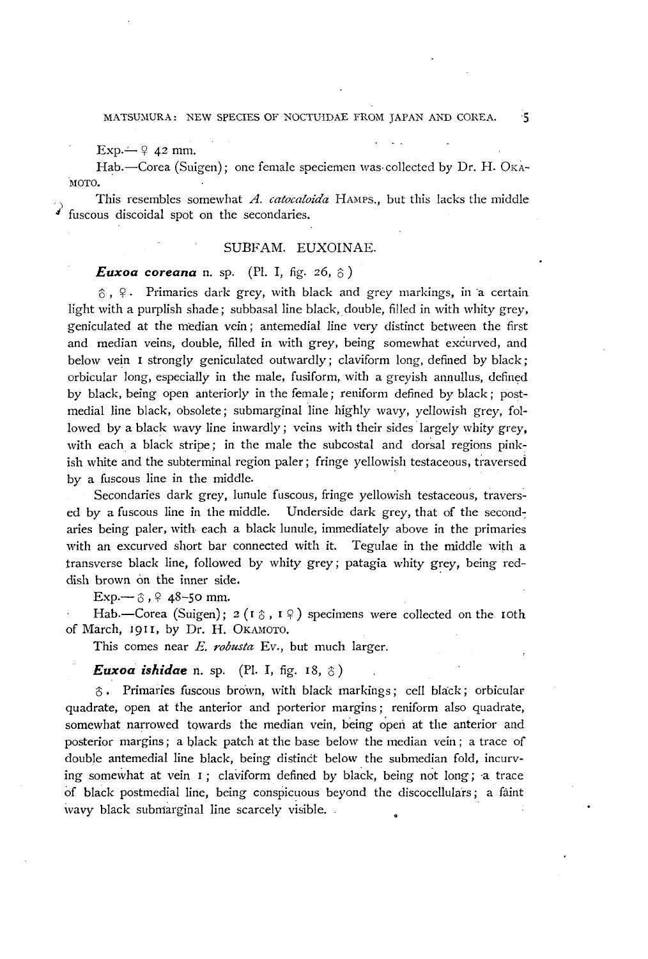MATSUMURA: NEW SPECIES OF NOCTUIDAE FROM JAPAN AND COREA. 5

 $Exp \rightarrow 9$  42 mm.

Hab.-Corea (Suigen); one female speciemen was collected by Dr. H. OKA-·MOTO.

This resembles somewhat *A. catocaloida* HAMPS., but this lacks the middle fuscous discoidal spot on the secondaries.

# SUBFAM. EUXOINAE.

## *Euxoa coreana* n. sp. (Pl. I, fig. 26,  $\delta$ )

 $\delta$ ,  $\varphi$ . Primaries dark grey, with black and grey markings, in a certain light with a purplish shade; subbasal line black, double, filled in with whity grey, geniculated at the median vein; antemedial line very distinct between the first and median veins, double, filled in with grey, being somewhat excurved, and below vein I strongly geniculated outwardly; claviform long, defined by black; orbicular long, especially in the male, fusiform, with a greyish annullus, defined by black, being open anteriorly in the female; reniform defined by black; postmedial line black, obsolete; submarginal line highly wavy, yellowish grey, followed by a black wavy line inwardly; veins with their sides largely whity grey, with each a black stripe; in the male the subcostal and dorsal regions pinkish white and the subterminal region paler; fringe yellowish testaceous, traversed by a fuscous line in the middle.

Secondaries dark grey, lunule fuscous, fringe yellowish testaceous, travers~ ed by a fuscous line in the middle. Underside dark grey, that of the second-: aries being paler, with each a black lunule, immediately above in the primaries with an excurved short bar connected with it. Tegulae in the middle with a transverse black line, followed by whity grey; patagia whity grey, being reddish brown on the inner side.

Exp.— $\hat{c}$ ,  $\hat{e}$  48-50 mm.

Hab.-Corea (Suigen);  $2 (1 \circ 0, 1 \circ 0)$  specimens were collected on the 10th of March, 1911, by Dr. H. OKAMOTO.

This comes near *E. robusta* Ev., but much larger.

### *Euxoa ishidae* n. sp. (Pl. I, fig. 18,  $\delta$ )

 $\delta$ . Primaries fuscous brown, with black markings; cell black; orbicular quadrate, open at the anterior and porterior margins; reniform also quadrate, somewhat narrowed towards the median vein, being open at the anterior and posterior margins; a black patch at the base below the median vein; a trace of double antemedial line black, being distinct below the submedian fold, incurving somewhat at vein  $I$ ; claviform defined by black, being not long; a trace of black postmedial line, being conspicuous beyond the discocellulars; a faint wavy black submarginal line scarcely visible.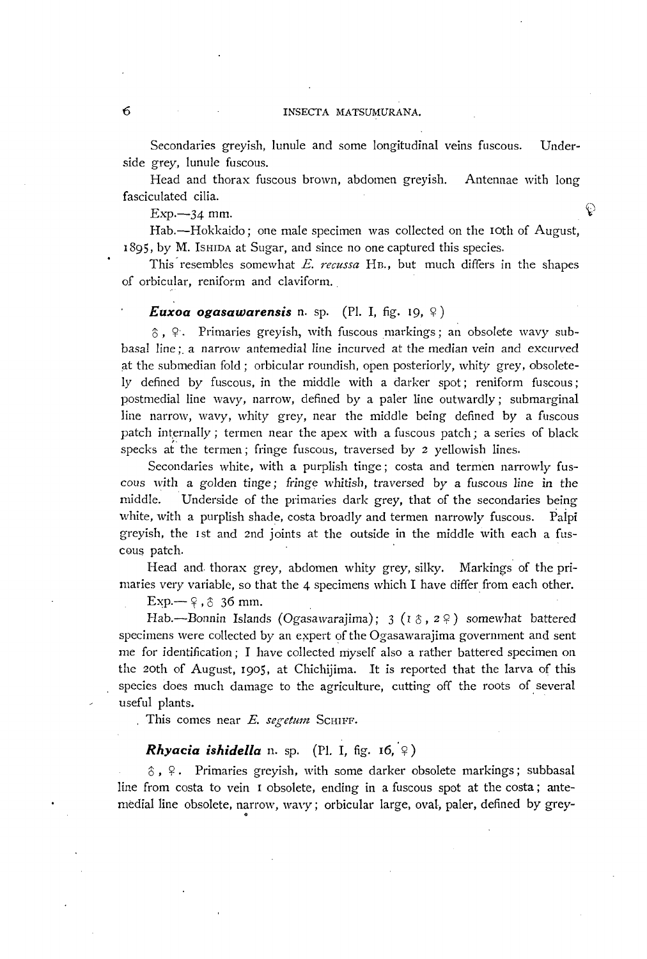Secondaries greyish, lunule and some longitudinal veins fuscous. Underside grey, lunule fuscous.

Head and thorax fuscous brown, abdomen greyish. Antennae with long fasciculated cilia.

Exp.  $-34$  mm.

Hab.-Hokkaido; one male specimen was collected on the 10th of August, 1895, by M. ISHIDA at Sugar, and since no one captured this species.

This'resembles somewhat E. *recussa* HE., but much differs in the shapes of orbicular, reniform and claviform.

#### *Euxoa ogasawarensis* n. sp. (Pl. I, fig. 19,  $\varphi$ )

 $\delta$ ,  $\varphi$ . Primaries greyish, with fuscous markings; an obsolete wavy subbasal line;. a narrow antemedial line incurved at the median vein and excurved at the submedian fold; orbicular roundish, open posteriorly, whity grey, obsoletely defined by fuscous, in the middle with a darker spot; reniform fuscous; postmedial line wavy, narrow, defined by a paler line outwardly; submarginal line narrow, wavy, whity grey, near the middle being defined by a fuscous patch internally; termen near the apex with a fuscous patch; a series of black specks at the termen; fringe fuscous, traversed by 2 yellowish lines.

Secondaries white, with a purplish tinge; costa and termen narrowly fuscous with a golden tinge; fringe whitish, traversed by a fuscous line in the middle. Underside of the primaries dark grey, that of the secondaries being white, with a purplish shade, costa broadly and termen narrowly fuscous. Palpi greyish, the 1st and 2nd joints at the outside in the middle with each a fuscous patch.

Head and. thorax grey, abdomen whity grey, silky. Markings of the primaries very variable, so that the 4 specimens which I have differ from each other.

 $Exp. \rightarrow \varphi$ ,  $\varphi$  36 mm.

Hab.--Bonnin Islands (Ogasawarajima); 3 ( $\iota$  8,  $\iota$  9) somewhat battered specimens were collected by an expert of the Ogasawarajima government and sent me for identification; I have collected myself also a rather battered specimen on the 20th of August, 1905, at Chichijima. It is reported that the larva of this species does much damage to the agriculture, cutting off the roots of several useful plants.

This comes near *E. segetum* SCHIFF.

# *Rhyacia ishidella n. sp.* (Pl. I, fig. 16,  $\varphi$ )

 $\delta$ ,  $\varphi$ . Primaries greyish, with some darker obsolete markings; subbasal line from costa to vein 1 obsolete, ending in a fuscous spot at the costa; antemedial line obsolete, narrow, wavy; orbicular large, oval, paler, defined by grey- .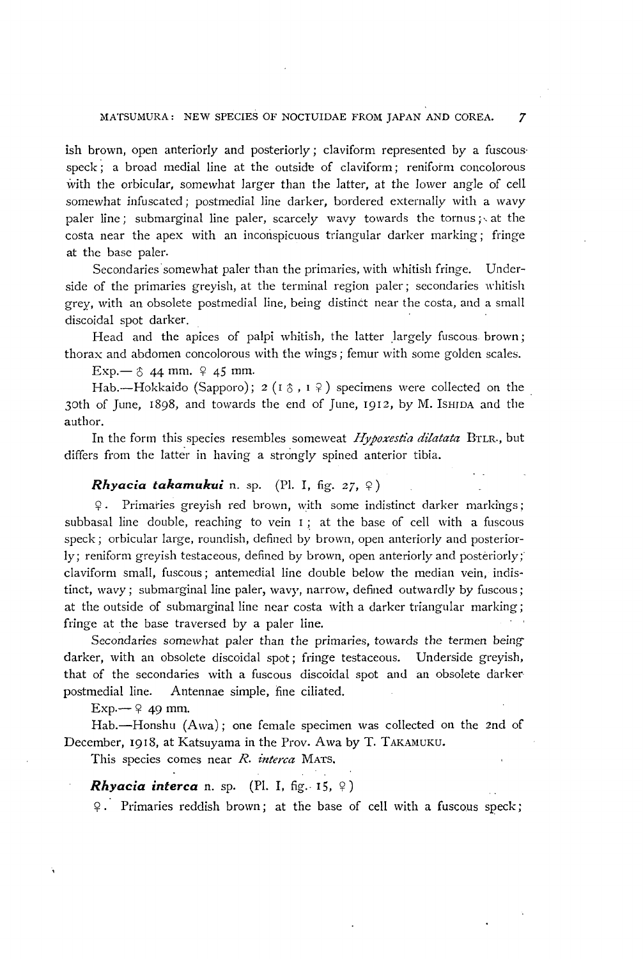# MATSUMURA: NEW SPECIES OF NOCTUIDAE FROM JAPAN AND COREA. 7

ish brown, open anteriorly and posteriorly; claviform represented by a fuscousspeck; a broad medial line at the outside of claviform; reniform concolorous with the orbicular, somewhat larger than the latter, at the lower angle of cell somewhat infuscated; postmedial line darker, bordered externaliy with a wavy paler line; submarginal line paler, scarcely wavy towards the tornus; at the costa near the apex with an inconspicuous triangular darker marking; fringe at the base paler.

Secondaries somewhat paler than the primaries, with whitish fringe. Underside of the primaries greyish, at the terminal region paler; secondaries whitish grey, with an obsolete postmedial line, being distinct near the costa, and a small discoidal spot darker.

Head and the apices of palpi whitish, the latter largely fuscous brown; thorax and abdomen concolorous with the wings; femur with some golden scales.

 $Exp. - 8$  44 mm.  $9$  45 mm.

Hab.--Hokkaido (Sapporo); 2 ( $I \uparrow$ ,  $I \uparrow$ ) specimens were collected on the 30th of June, 1898, and towards the end of June, 1912, by M. ISHIDA and the author.

In the form this species resembles someweat *Hypoxestia dilatata* BTLR., but differs from the latter in having a strongly spined anterior tibia.

## *Rhyacia takamukui* n. sp. (Pl. I, fig.  $27, \varphi$ )

 $\varphi$ . Primaries greyish red brown, with some indistinct darker markings; subbasal line double, reaching to vein  $I$ ; at the base of cell with a fuscous speck; orbicular large, roundish, defined by brown, open anteriorly and posteriorly; reniform greyish testaceous, defined by brown, open anteriorly and posteriorly; c1aviform small, fuscous; antemedial line double below the median vein, indistinct, wavy; submarginal line paler, wavy, narrow, defined outwardly by fuscous; at the outside of submarginal line ncar costa with a darker triangular marking; fringe at the base traversed by a paler line.

Secondaries somewhat paler than the primaries, towards the termen beingdarker, with an obsolete discoidal spot; fringe testaceous. Underside greyish, that of the secondaries with a fuscous discoidal spot and an obsolete darker postmedial line. Antennae simple, fine ciliated.

 $Exp - 9$  49 mm.

Hab.—Honshu (Awa); one female specimen was collected on the 2nd of December, 1918, at Katsuyama in the Prov. Awa by T. TAKAMUKU.

This species comes near *R. interca* MATS.

*Rhyacia interca* n. sp. (Pl. I, fig. 15,  $\varphi$ )

 $\varphi$ . Primaries reddish brown; at the base of cell with a fuscous speck;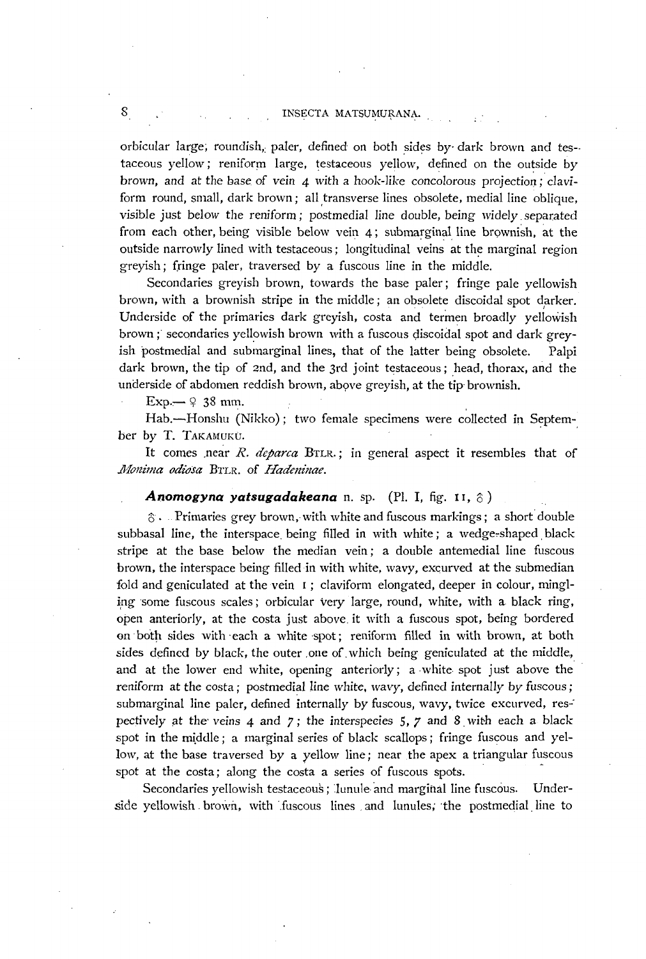## S CONSECTA MATSUMURANA.

orbicular large; roundish, paler, defined on both sides by dark brown and testaceous yellow; reniform large, testaceous yellow, defined on the outside by brown, and at the base of vein 4 with a hook-like concolorous projection; claviform round, small, dark brown; all transverse lines obsolete, medial line oblique, visible just below the reniform; postmedial line double, being widely, separated from each other, being visible below vein  $4$ ; submarginal line brownish, at the outside narrowly lined with testaceous; longitudinal veins at the marginal region greyish; fringe paler, traversed by a fuscous line in the middle.

Secondaries greyish brown, towards the base paler; fringe pale yellowish brown, with a brownish stripe in the middle; an obsolete discoidal spot darker. Underside of the primaries dark greyish, costa and termen broadly yellowish brown ; secondaries yellowish brown with a fuscous discoidal spot and dark greyish postmedial and submarginal lines, that of the latter being obsolete. Palpi dark brown, the tip of 2nd, and the 3rd joint testaceous; head, thorax, and the underside of abdomen reddish brown, above greyish, at the tip brownish.

 $Exp. \rightarrow 9$  38 mm.

Hab.-Honshu (Nikko); two female specimens were collected in September by T. TAKAMUKU.

It comes ,near *R. dcparca* BTLR.; in general aspect it resembles that of *1I1cmima odiosa* BTLR. of *Hadem'nae.* 

## Anomogyna yatsugadakeana n. sp. (Pl. I, fig. 11, 8)

 $\hat{\sigma}$ . Primaries grey brown, with white and fuscous markings; a short double subbasal line, the interspace being filled in with white; a wedge-shaped black stripe at the base below the median vein; a double antemedial line fuscous brown, the interspace being filled in with white, wavy, excurved at the submedian fold and geniculated at the vein 1; claviform elongated, deeper in colour, mingling some fuscous scales; orbicular very large, round, white, with a black ring, open anteriorly, at the costa just above, it with a fuscous spot, being bordered on both sides with each a white spot; reniform filled in with brown, at both sides defined by black, the outer one of which being geniculated at the middle, and at the lower end white, opening anteriorly; a white spot just above the reniform at the costa; postmedial line white, wavy, defined internally by fuscous; submarginal line paler, defined internally by fuscous, wavy, twice excurved, res-' pectively at the veins  $4$  and  $7$ ; the interspecies  $5$ ,  $7$  and  $8$  with each a black spot in the middle; a marginal series of black scallops; fringe fuscous and yellow, at the base traversed by a yellow line; near the apex a triangular fuscous spot at the costa; along the costa a series of fuscous spots.

Secondaries yellowish testaceous; lunule and marginal line fuscous. Underside yellowish brown, with fuscous lines and lunules, the postmedial line to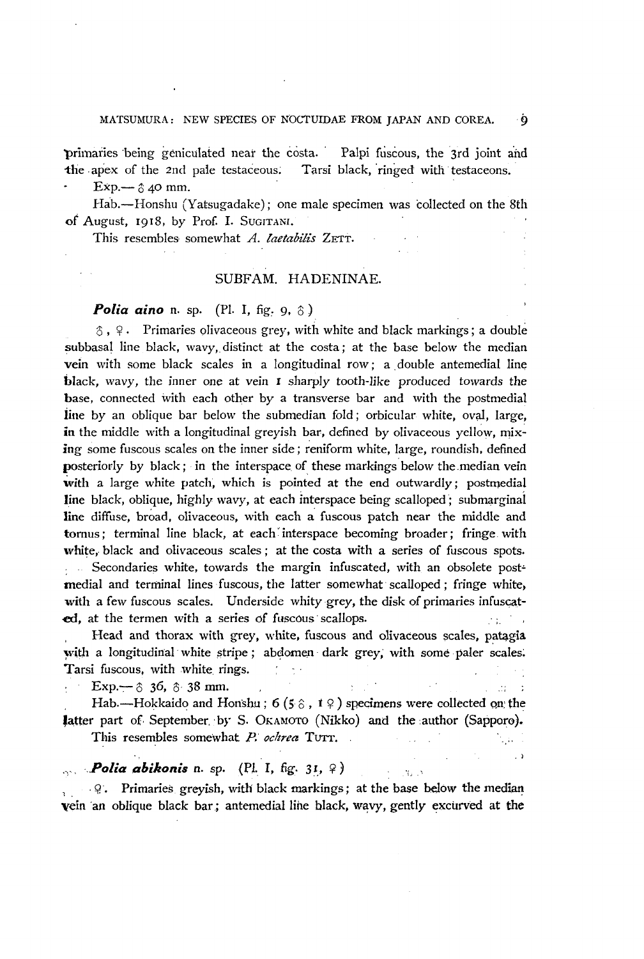primaries being geniculated near the costa. Palpi fuscous, the 3rd joint and the apex of the 2nd pale testaceous. Tarsi black, ringed with testaceons.

 $Exp. \rightarrow \hat{O}$  40 mm.

Hab.-Honshu (Yatsugadake); one male specimen was collected on the 8th of August, 1918, by Prof. I. SUGITANI.

This resembles somewhat *A. laetabilis* ZETT.

## SUBFAM. HADENINAE.

**Polia aino** n. sp. (Pl. I, fig. 9, 8)

 $\hat{\sigma}$ ,  $\varphi$ . Primaries olivaceous grey, with white and black markings; a double subbasal line black, wavy, distinct at the costa; at the base below the median vein with some black scales in a longitudinal row; a double antemedial line black, wavy, the inner one at vein I sharply tooth-like produced towards the base, connected with each other by a transverse bar and with the postmedial line by an oblique bar below the submedian fold; orbicular white, oval, large, in the middle with a longitudinal greyish bar, defined by olivaceous yellow, mixing some fuscous scales on the inner side; reniform white, large, roundish, defined posteriorly by black; in the interspace of these markings' below the.median vein with a large white patch, which is pointed at the end outwardly; postmedial line black, oblique, highly wavy, at each interspace being scalloped; submarginal line diffuse, broad, olivaceous, with each a fuscous patch near the middle and tornus; terminal line black, at each' interspace becoming broader; fringe. with white, black and olivaceous scales; at the costa with a series of fuscous spots. Secondaries white, towards the margin infuscated, with an obsolete postmedial and terminal lines fuscous, the latter somewhat scalloped; fringe white, with a few fuscous scales. Underside whity grey, the disk of primaries infuscated, at the termen with a series of fuscous scallops.

Head and thorax with grey, white, fuscous and olivaceous scales, patagia with a longitudinal white stripe; abdomen dark grey, with some paler scales. Tarsi fuscous, with white rings. at and terminal lines ruscous, the later somewhat scanoped, ringe wines,<br>a few fuscous scales. Underside whity grey, the disk of primaries infuscat-<br>the termen with a series of fuscous scallops.<br>Head and thorax with grey,

Hab.-Hokkaido and Honshu; 6 (5 $\hat{\circ}$ , 1 $\hat{\circ}$ ) specimens were collected on the fatter part of. September. 'by S. OKAMOTO (Nikko) and the author (Sapporo).  $\mathcal{L}^{\text{max}}$  , where  $\mathcal{L}^{\text{max}}$ tijde i

This resembles somewhat P. ochrea TUTT.

# *...***,** *Polia abikonis* n. sp. (Pl. I, fig. 31, 9) [1] ...

, Q. Primaries greyish, with black markings; at the base below the median vein an oblique black bar; antemedial line black, wavy, gently excurved at the

 $\cdot$   $\cdot$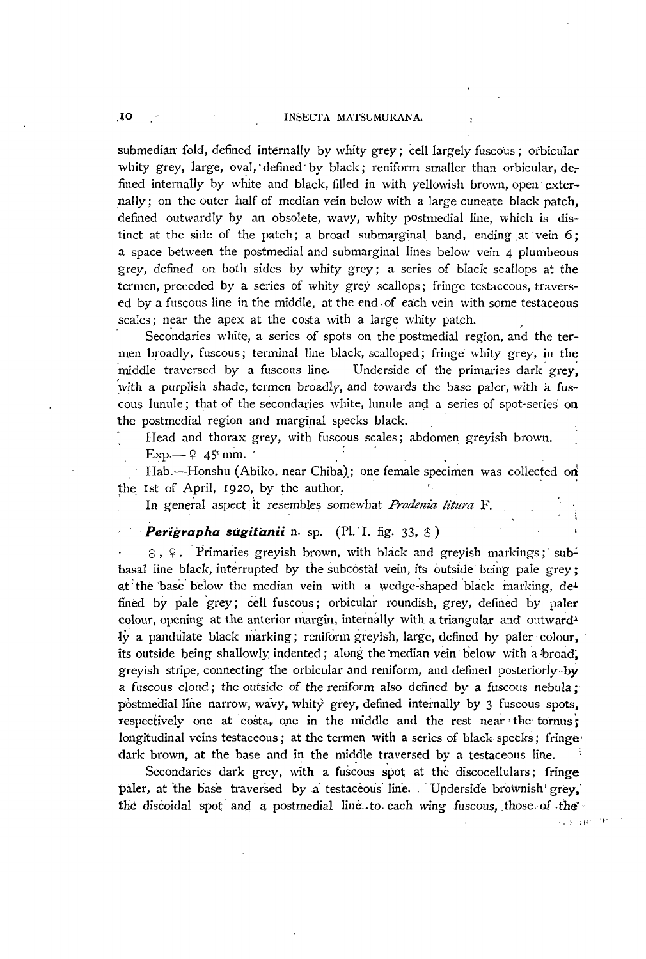#### ;10 INSECfA MATSUMURANA.

submedian fold, defined internally by whity grey; cell largely fuscous; orbicular whity grey, large, oval, defined by black; reniform smaller than orbicular, defined internally by white and black, filled in with yellowish brown, open externally; on the outer half of median vein below with a large cuneate black patch, defined outwardly by an obsolete, wavy, whity postmedial line, which is distinct at the side of the patch; a broad submarginal band, ending at vein  $6$ ; a space between the postmedial and submarginal lines below vein 4 plumbeous grey, defined on both sides by whity grey; a series of black scallops at the termen, preceded by a series of whity grey scallops; fringe testaceous, traversed by a fuscous line in the middle, at the end, of each vein with some testaceous scales; near the apex at the costa with a large whity patch.

Secondaries white, a series of spots on the postmedial region, and the termen broadly, fuscous; terminal line black, scalloped; fringe whity grey, in the middle traversed by a fuscous line. Underside of the primaries dark grey. with a purplish shade, termen broadly, and towards the base paler, with a fuscous lunule; that of the secondaries white, lunule and a series of spot-series on the postmedial region and marginal specks black.

Head and thorax grey, with fuscous scales; abdomen greyish brown.  $Exp - 9$  45' mm.  $\cdot$ 

Hab.-Honshu (Abiko, near Chiba); one female specimen was collected on the 1st of April, 1920, by the author.

In general aspect it resembles somewhat *Prodenia litura* F.

# Perigrapha sugitanii n. sp. (Pl. I. fig. 33, 8)

 $\hat{\sigma}$ ,  $\hat{\phi}$ . Primaries grevish brown, with black and grevish markings; subbasal line black, interrupted by the subcostal vein, its outside being pale grey; at the base below the median vein with a wedge-shaped black marking,  $de^L$ fined by pale grey; cell fuscous; orbicular roundish, grey, defined by paler colour, opening at the anterior margin, internally with a triangular and outward<sup> $\lambda$ </sup> Iy a pandulate black marking; reniform greyish, large, defined by paler colour. its outside being shallowly indented; along the median vein below with a broad, greyish stripe, connecting the orbicular and reniform, and defined posterioriy by a fuscous cloud; the outside of the reniform also defined by a fuscous nebula; postmedial line narrow, wavy, whity grey, defined internally by 3 fuscous spots, respectively one at costa, one in the middle and the rest near the tornus; longitudinal veins testaceous; at the termen with a series of black specks; fringe dark brown, at the base and in the middle traversed by a testaceous line.

Secondaries dark grey, with a fuscous spot at the discocellulars; fringe paler, at the base traversed by a testaceous line. Underside brownish' grey, the discoidal spot and a postmedial line to each wing fuscous, those of the

',1.1' T'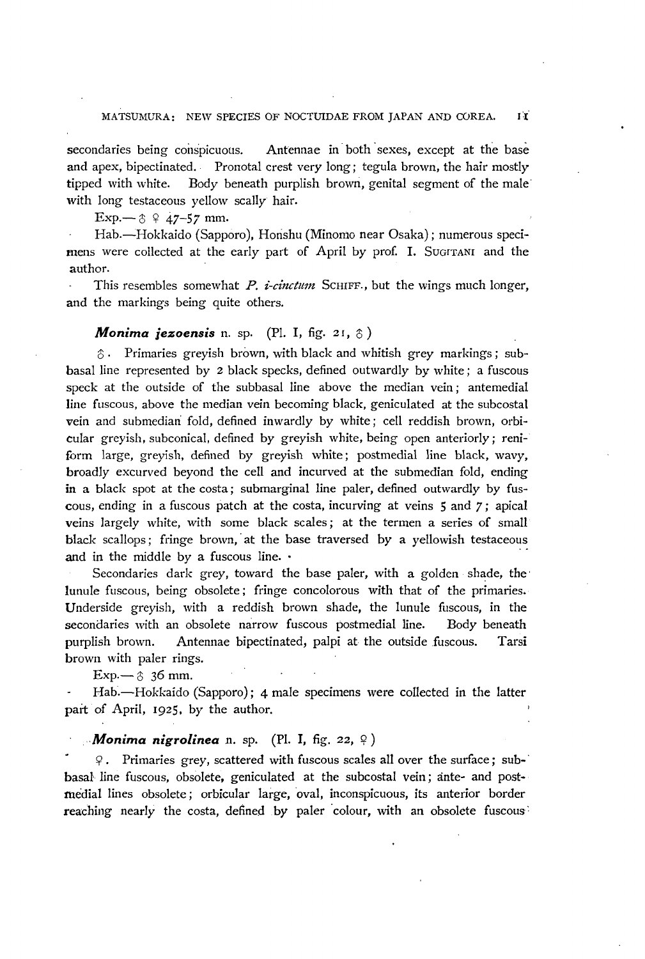#### MATSUMURA: NEW SPECIES OF NOCTUIDAE FROM JAPAN AND COREA. IT

secondaries being conspicuous. Antennae in both sexes, except at the base and apex, bipectinated. Pronotal crest very long; tegula brown, the hair mostly tipped with white. Body beneath purplish brown, genital segment of the male· with long testaceous yellow scally hair.

Exp.— $\upbeta$   $\varphi$   $47-57$  mm.

Hab.-Hokkaido (Sapporo), Honshu (Minomo near Osaka); numerous specimens were collected at the early part of April by prof. I. SUGITANI and the author.

This resembles somewhat P.  $i$ -cinctum SCHIFF., but the wings much longer, and the markings being quite others.

#### *Monima jezoensis* n. sp. (Pl. I, fig. 21,  $\delta$ )

 $\hat{\delta}$ . Primaries greyish brown, with black and whitish grey markings; subbasal line represented by 2 black specks, defined outwardly by white; a fuscous speck at the outside of the subbasal line above the median vein; antemedial line fuscous, above the median vein becoming black, geniculated at the subcostal vein and submediari fold, defined inwardly by white; cell reddish brown, orbicular greyish, subconical, defined by greyish white, being open anteriorly; reniform large, greyish, defined by greyish white; postmedial line black, wavy, broadly excurved beyond the cell and incurved at the submedian fold, ending in a black spot at the costa; submarginal line paler, defined outwardly by fuscous, ending in a fuscous patch at the costa, incurving at veins 5 and 7; apical veins largely white, with some black scales; at the termen a series of small black scallops; fringe brown, at the base traversed by a yellowish testaceous and in the middle by a fuscous line.  $\cdot$ 

Secondaries dark grey, toward the base paler, with a golden shade, the' lunule fuscous, being obsolete; fringe concolorous with that of the primaries. Underside greyish, with a reddish brown shade, the lunule fuscous, in the secondaries with an obsolete narrow fllscous postmedial line. Body beneath purplish brown. Antennae bipectinated, palpi at the outside fuscous. Tarsi brown with paler rings.

 $Exp - \hat{6}$  36 mm.

Hab.-Hokkaido (Sapporo); 4 male specimens were collected in the latter part of April, 1925. by the author.

#### *Monima nigrolinea* n. sp. (Pl. I, fig. 22,  $\varphi$ )

<j? Primaries grey, scattered with fuscous scales all over the surface; sub-' basal line fuscous, obsolete, geniculated at the subcostal vein; ante- and postmedial lines obsolete; orbicular large, oval, inconspicuous, its anterior border reaching nearly the costa, defined by paler 'colour, with an obsolete fuscous'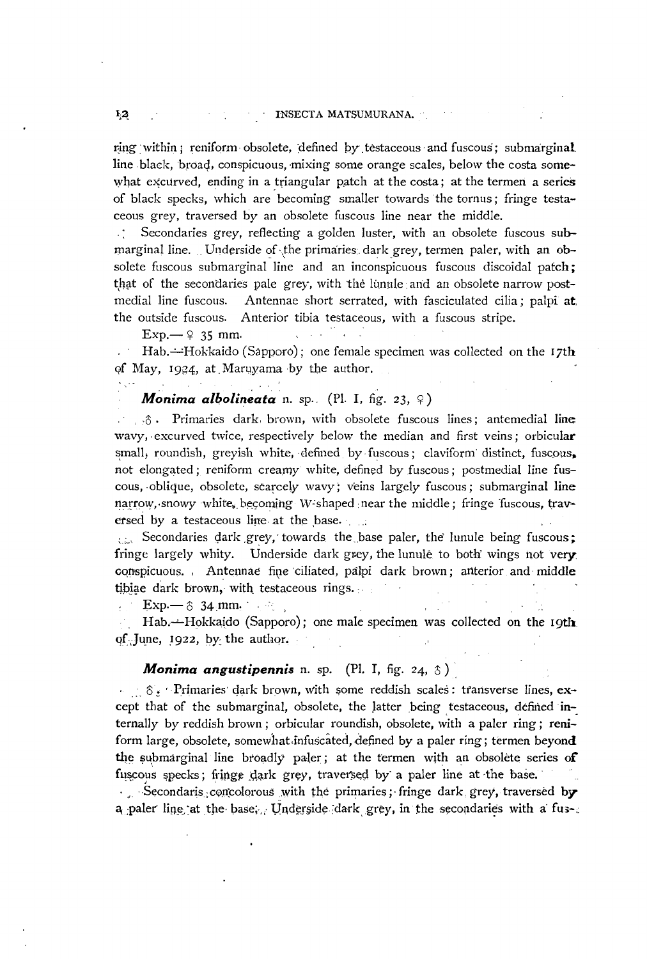ring within; reniform obsolete, defined by testaceous and fuscous; submarginal. line black, broad, conspicuous, mixing some orange scales, below the costa somewhat excurved, ending in a triangular patch at the costa; at the termen a series of black specks, which are becoming smaller towards the tornus; fringe testaceous grey, traversed by an obsolete fuscous line near the middle.

Secondaries grey, reflecting a golden luster, with an obsolete fuscous submarginal line. Underside of the primaries, dark grey, termen paler, with an obsolete fuscous submarginal line and an inconspicuous fuscous discoidal patch; that of the secondaries pale grey, with the linnile and an obsolete narrow postmedial line fuscous. Antennae short serrated, with fasciculated cilia; palpi at. the outside fuscous. Anterior tibia testaceous, with a fuscous stripe.

 $Exp. \rightarrow 9$  35 mm.

Hab. $\div$ Hokkaido (Sapporo); one female specimen was collected on the 17th of May, 1934, at Maruyama by the author.

## **Monima albolineata** n. sp. (Pl. I, fig. 23,  $\varphi$ )

 $\ldots$ 3. Primaries dark, brown, with obsolete fuscous lines; ante medial lines wavy, excurved twice, respectively below the median and first veins; orbicular small, roundish, greyish white, defined by fuscous; claviform distinct, fuscous. not elongated; reniform creamy white, defined by fuscous; postmedial line fuscous, oblique, obsolete, scarcely wavy; veins largely fuscous; submarginal line  $narrow$ , snowy white, becoming W shaped near the middle; fringe fuscous, traversed by a testaceous line at the base.

 $\epsilon_{\text{th}}$ . Secondaries dark grey, towards the base paler, the lunule being fuscous; fringe largely whity. Underside dark grey, the lunule to both' wings not very. conspicuous., Antennae fine ciliated, palpi dark brown; anterior and middle tibiae dark brown, with testaceous rings.

 $Exp \rightarrow 8$  34.mm.

Hab.--Hokkaido (Sapporo); one male specimen was collected on the 19th qf. June,  $1922$ , by the author,

# *Monima angustipennis* n. sp. (Pl. I, fig. 24, 8).

. :.  $\delta$ . Primaries dark brown, with some reddish scales: transverse lines, except that of the submarginal, obsolete, the latter being testaceous, defined internally by reddish brown; orbicular roundish, obsolete, with a paler ring; reniform large, obsolete, somewhat infuscated, defined by a paler ring; termen beyond the submarginal line broadly paler; at the termen with an obsolete series of fuscous specks; fringe dark grey, traversed by a paler line at the base.

. Secondaris; concolorous with the primaries; fringe dark grey, traversed by a paler line at the base; Underside dark grey, in the secondaries with a fus- $\varepsilon$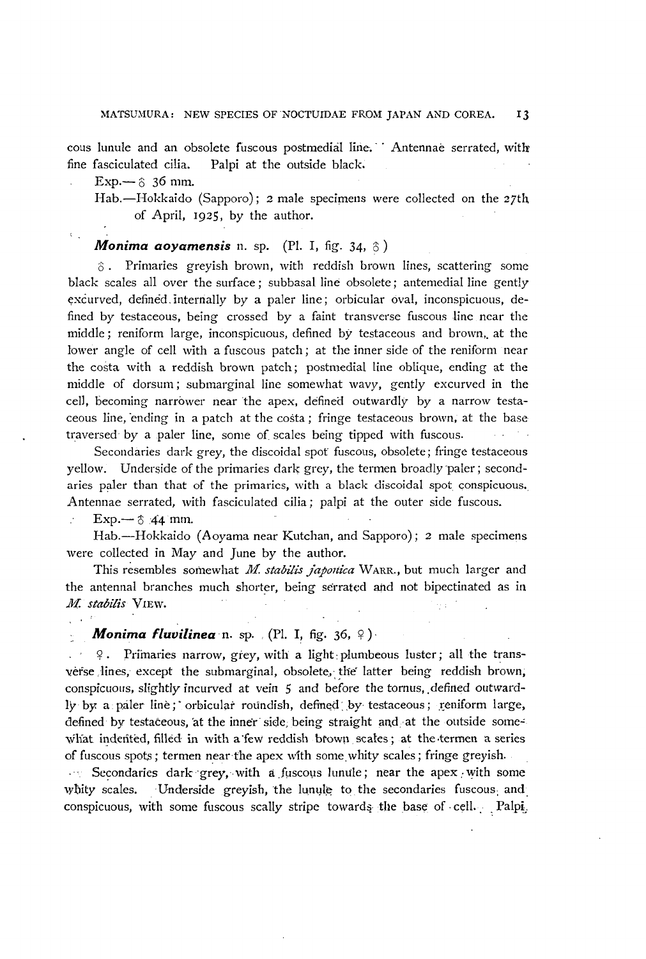cous lunule and an obsolete fuscous postmedial line. ' Antennae serrated, with fine fasciculated cilia. Palpi at the outside black.

 $Exp. - 8$  36 mm.

Hab.-Hokkaido (Sapporo); 2 male specimens were collected on the 27th of April, 1925, by the author.

#### *Monima aoyamensis* n. sp. (Pl. I, fig. 34,  $\circ$ )

 $\delta$ . Primaries greyish brown, with reddish brown lines, scattering some black scales all over the surface; subbasal line obsolete; antemedial line gently excurved, defined internally by a paler line; orbicular oval, inconspicuous, defined by testaceous, being crossed by a faint transverse fuscous line near the middle; reniform large, inconspicuous, defined by testaceous and brown, at the lower angle of cell with a fuscous patch; at the inner side of the reniform near the costa with a reddish brown patch; postmedial line oblique, ending at the middle of dorsum; submarginal line somewhat wavy, gently excurved in the cell, becoming narrower near 'the apex, defined outwardly by a narrow testaceous line, "ending in a patch at the costa; fringe testaceous brown, at the base traversed by a paler line, some of scales being tipped with fuscous.

Secondaries dark grey, the discoidal spot fuscous, obsolete; fringe testaceous yellow. Underside of the primaries dark grey, the termen broadly paler; secondaries paler than that of the primaries, with a black discoidal spot conspicuous. Antennae serrated, with fasciculated cilia; palpi at the outer side fuscous.

Exp.—  $\textcircled{3}$  44 mm.

Hab.--Hokkaido (Aoyama near Kutchan, and Sapporo); 2 male specimens were collected in May and June by the author.

This resembles somewhat *M. stabilis japonica* WARR., but much larger and the antennal branches much shorter, being serrated and not bipectinated as in *M. stabilis* VlEw.  $\sim$   $^{-1}$ 

## *Monima fluvilinea* n. sp. (Pl. I, fig. 36,  $9$ ).

 $9$ . Primaries narrow, grey, with a light: plumbeous luster; all the transverse lines, except the submarginal, obsolete, the latter being reddish brown, conspicuous, slightly incurved at vein 5 and before the tornus, defined outwardly by a paler line; orbicular roundish, defined by testaceous; reniform large, defined by testaceous, at the inner side; being straight and at the outside somewhat indented, filled in with a few reddish brown scales; at the termen a series of fuscous spots; termen near the apex with some whity scales; fringe greyish.

Secondaries dark grey, with a fuscous lunule; near the apex with some whity scales. Underside greyish, the lunule to the secondaries fuscous; and conspicuous, with some fuscous scally stripe towards the base of cell. : Palpi,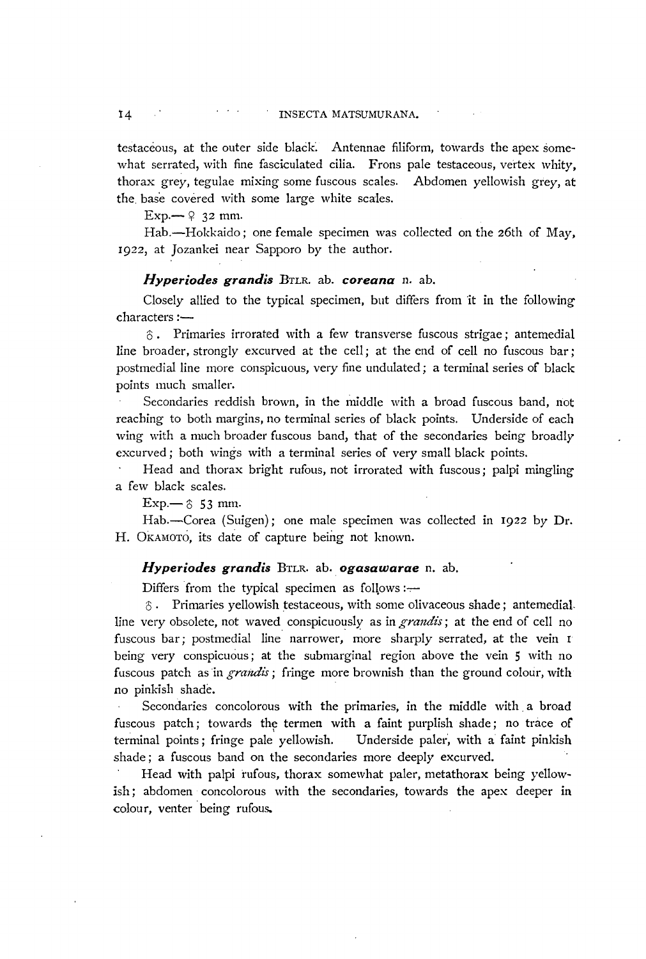testaceous, at the outer side black. Antennae filiform, towards the apex somewhat serrated, with fine fasciculated cilia. Frons pale testaceous, vertex whity, thorax grey, tegulae mixing some fuscous scales. Abdomen yellowish grey, at the. base covered with some large white scales.

 $Exp - 9$  32 mm.

Hab.-Hokkaido; one female specimen was collected on the 26th of May, 1922, at Jozankei near Sapporo by the author.

## *Hyperiodes grandis BTLR. ab. coreana n. ab.*

Closely allied to the typical specimen, but differs from it in the following characters :-

 $\hat{\sigma}$ . Primaries irrorated with a few transverse fuscous strigae; antemedial line broader, strongly excurved at the cell; at the end of cell no fuscous bar; postmedial line more conspicuous, very fine undulated; a terminal series of black points much smaller.

Secondaries reddish brown, in the middle with a broad fuscous band, not reaching to both margins, no terminal series of black points. Underside of each wing with a much broader fuscous band, that of the secondaries being broadly excurved; both wings with a terminal series of very small black points.

Head and thorax bright rufous, not irrorated with fuscous; palpi mingling a few black scales.

 $Exp. \rightarrow \text{\$} 53 \text{ mm}.$ 

Hab.-Corea (Suigen); one male specimen was collected in 1922 by Dr. H. OKAMOTO, its date of capture being not known.

### *Hyperiodes grandis BTLR. ab. ogasawarae* n. ab.

Differs from the typical specimen as follows: $-$ 

 $\hat{c}$ . Primaries yellowish testaceous, with some olivaceous shade; antemedialline very obsolete, not waved conspicuously as in *grandts;* at the end of cell no fuscous bar; postmedial line narrower, more sharply serrated, at the vein <sup>I</sup> being very conspicuous; at the submarginal region above the vein 5 with no fuscous patch as in *grandis*; fringe more brownish than the ground colour, with no pinkish shade.

Secondaries concolorous with the primaries, in the middle with a broad fuscous patch; towards the termen with a faint purplish shade; no trace of terminal points; fringe pale yellowish. Underside paler, with a faint pinkish shade; a fuscous band on the secondaries more deeply excurved.

Head with palpi rufous, thorax somewhat paler, metathorax being yellowish; abdomen concolorous with the secondaries, towards the apex deeper in colour, venter being rufous.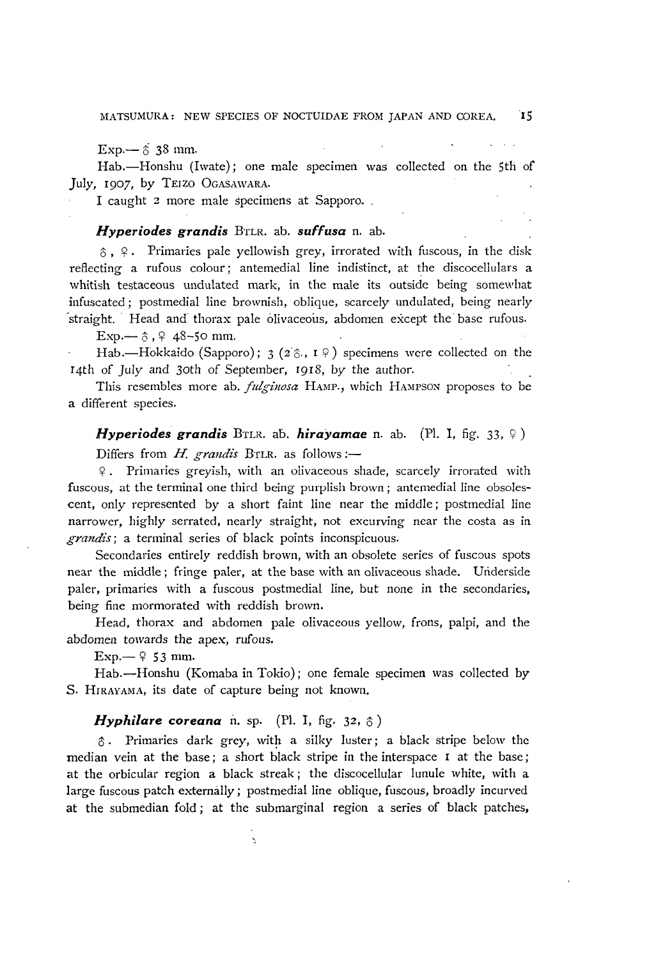Exp.—  $\delta$  38 mm.

Hab.--Honshu (Iwate); one male specimen was collected on the 5th of July, 1907, by TElzO OGASAWARA.

I caught 2 more male specimens at Sapporo. .

## *Hyperiodes grandis BTLR. ab. suffusa n. ab.*

 $\delta$ ,  $\varphi$ . Primaries pale yellowish grey, irrorated with fuscous, in the disk reflecting a rufous colour; antemedial line indistinct, at the discocellulars a whitish testaceous undulated mark, in the male its outside being somewhat infuscated; postmedial line brownish, oblique, scarcely undulated, being nearly straight. Head and thorax pale olivaceous, abdomen except the base rufous.

 $Exp. - 3.948 - 50$  mm.

Hab.-Hokkaido (Sapporo); 3 (2 $\hat{\sigma}$ , 1 $\hat{\phi}$ ) specimens were collected on the I4th of July and 30th of September, f918, by the author.

This resembles more ab. *fulginosa* HAMP., which HAMPSON proposes to be a different species.

*Hyperiodes grandis* BTLR. ab. *hirayamae* n. ab. (Pl. I, fig. 33,  $\varphi$ ) Differs from *H. grandis* BTLR. as follows:-

9. Primaries greyish, with an olivaceous shade, scarcely in'orated with fuscous, at the terminal one third being purplish brown; antemedial line obsolescent, only represented by a short faint line near the middle; postmedial line narrower, highly serrated, nearly straight, not excurving near the costa as in *grandis*; a terminal series of black points inconspicuous.

Secondaries entirely reddish brown, with an obsolete series of fuscous spots near the middle; fringe paler, at the base with an olivaceous shade. Underside paler, primaries with a fuscous postmedial line, but none in the secondaries, being fine mormorated with reddish brown.

Head, thorax and abdomen pale olivaceous yellow, frons, palpi, and the abdomen towards the apex, rufous.

Exp.—  $9$  53 mm.

Hab.-Honshu (Komaba in Tokio); one female specimen was collected by S. HIRAYAMA, its date of capture being not known.

#### *Hyphilare coreana* n. sp. (Pl. I, fig. 32,  $\hat{\circ}$ )

 $\bar{\zeta}$ 

 $\hat{\sigma}$ . Primaries dark grey, with a silky luster; a black stripe below the median vein at the base; a short black stripe in the interspace 1 at the base; at the orbicular region a black streak; the discocellular lunule white, with a large fuscous patch externally; postmedial line oblique, fuscous, broadly incurved at the submedian fold; at the submarginal region a series of black patches,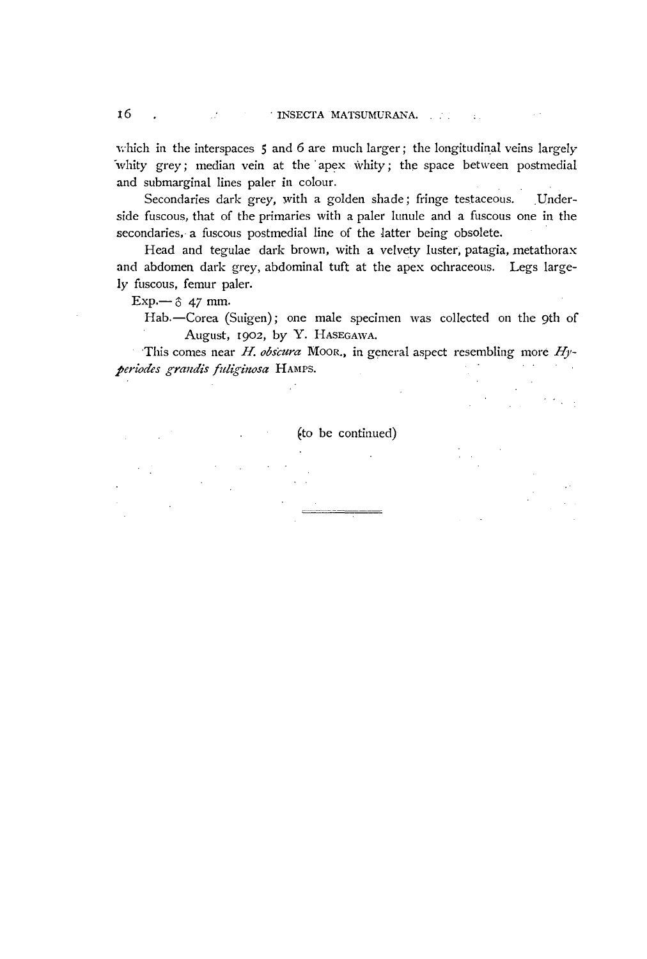$\sim$ 

which in the interspaces 5 and 6 are much larger; the longitudinal veins largely 'whity grey; median vein at the' apex whity; the space between postmedial and submarginal lines paler in colour.

Secondaries dark grey, with a golden shade; fringe testaceous. Underside fuscous, that of the primaries with a paler lunule and a fuscous one in the secondaries, a fuscous postmedial line of the Jatter being obsolete.

Head and tegulae dark brown, with a velvety luster, patagia, metathorax and abdomen dark grey, abdominal tuft at the apex ochraceous. Legs largely fuscous, femur paler.

Exp.- $\circ$  47 mm.

Hab.-Corea (Suigen); one male specimen was collected on the 9th of August, I902, by Y. HASEGAWA.

This comes near H. *obscura* MOOR., in general aspect resembling more *H)' periodes grandis fuliginosa* HAMPS.

€to be continued)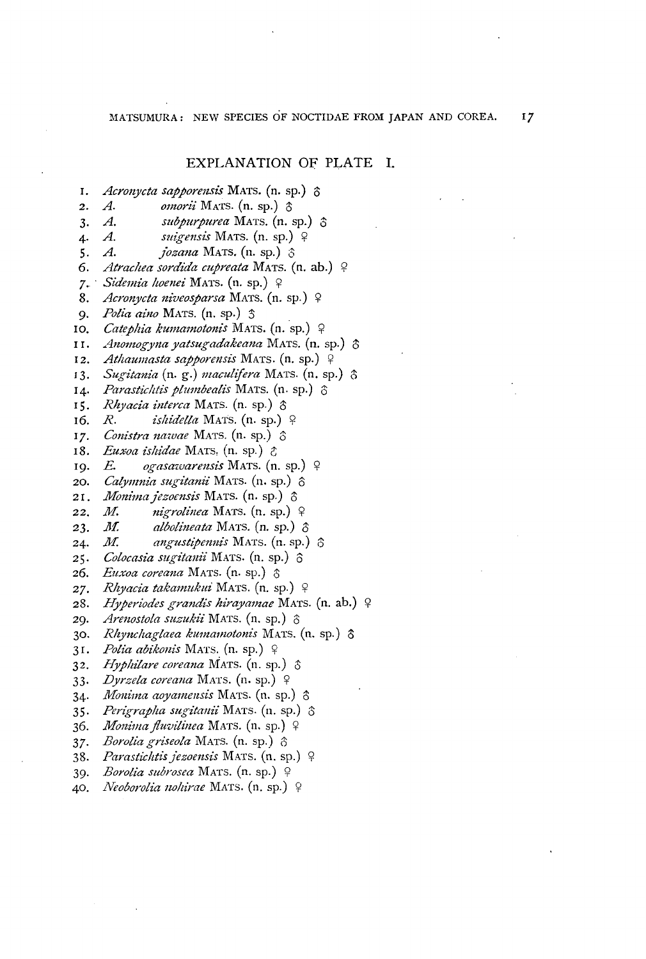## EXPLANATION OF PLATE I.

- I. *Acronycta sapporensis* MATS. (n. sp.)  $\delta$
- **2.** *A. omorii* Mats. (n. sp.)  $\uparrow$
- **3.** *A. subpurpurea* MATS. (n. sp.)  $\hat{S}$
- *4. A. sltigensis* MATS. (n. sp.) 9
- **5.** *A. <i>jozana* MATS. (n. sp.)  $\hat{\sigma}$
- 6. *Atrachea sordida cupreata* MATS. (n. ab.) 9
- 7. *Sidemia hoenei* MATS. (n. sp.) 9
- 8. *Acronycta niveosparsa* MATS. (n. sp.) ?
- *9. Polia aino* MATS. (n. sp.) :)
- 10. Catephia kumamotonis MATS. (n. sp.) ?
- 11. *Anomogyna yatsugadakeana* MATS. (n. sp.)  $\delta$
- 12. *Athaumasta sapporensis* MATS. (n. sp.) 9
- 13. Sugitania (n. g.) *maculifera* MATS. (n. sp.)  $\delta$
- 14. Parastichtis plumbealis MATS. (n. sp.) 6
- 15. *Rhyacia interca* MATS. (n. sp.)  $\delta$
- 16. *R. ishidella* MATS. (n. sp.) 9
- **17.** *Conistra nawae* MATS. (n. sp.)  $\hat{\sigma}$
- 18. *Euxoa ishidae* MATS, (n. sp.) &
- 19. E. ogasazvarensis MATS. (n. sp.) º
- 20. *Calymnia sugitanii* MATS. (n. sp.)  $\hat{o}$
- 21. *Monima jezoensis* Mars. (n. sp.)  $\delta$
- **22.** *M. nigrolinea* Mars. (n. sp.)  $\varphi$
- 23. *M. albolineata* MATS.  $(n.$  sp.)  $\delta$
- 24. *M. angustipennis* MATS. (n. sp.)  $\hat{\sigma}$
- 25. Colocasia sugitanii MATS. (n. sp.) ô
- 26. Euxoa coreana MATS. (n. sp.)  $\delta$
- 27. *Rhyacia takamukui* MATS. (n. sp.) ?
- 28. Hyperiodes grandis hirayamae MATS. (n. ab.) 9
- 29. *Arenostola suzukii* MATS. (n. sp.)  $\delta$
- 30. *Rhynchaglaea kumamotonis* MATS. (n. sp.)  $\delta$
- 31. Polia abikonis MATS. (n. sp.) 9
- **32.** *Hyphilare coreana* MATS. (n. sp.)  $\delta$
- 33. *Dyrzela coreana* Mars. (n. sp.) ?
- 34. *Monima aoyamensis* MATS. (n. sp.) 6
- 35. *Perigrapha sugitanii* MATS. (n. sp.)  $\hat{\sigma}$
- **36.** *Monima fluvilinea* MATS. (n. sp.)  $\varphi$
- 37. Borolia griseola MATS. (n. sp.)  $\hat{\sigma}$
- *38. Parastichtisjezomsis* MATS. (n. sp.) 9
- *39. Borolia subrosea* MATS. (n. sp.) 9
- 40. Neoborolia nohirae MATS. (n. sp.) 9